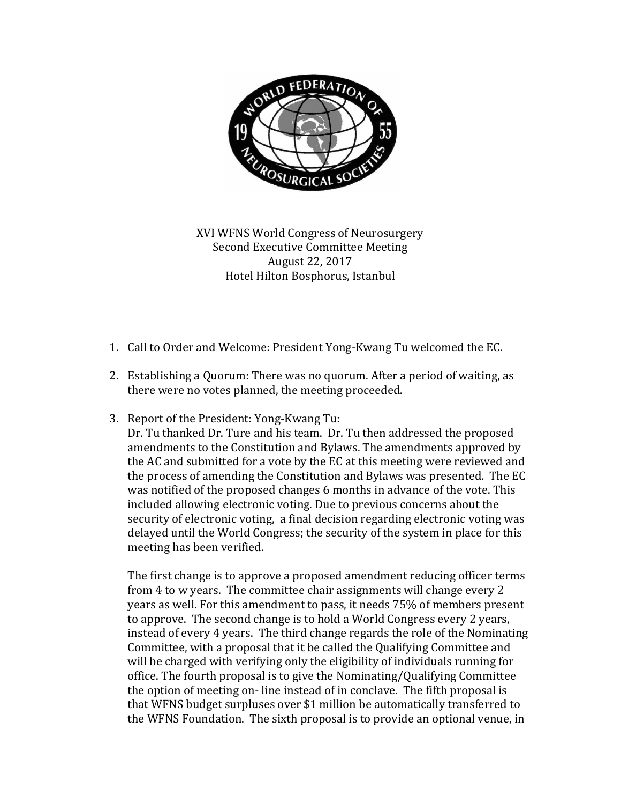

XVI WFNS World Congress of Neurosurgery Second Executive Committee Meeting August 22, 2017 Hotel Hilton Bosphorus, Istanbul

- 1. Call to Order and Welcome: President Yong-Kwang Tu welcomed the EC.
- 2. Establishing a Quorum: There was no quorum. After a period of waiting, as there were no votes planned, the meeting proceeded.
- 3. Report of the President: Yong-Kwang Tu:

Dr. Tu thanked Dr. Ture and his team. Dr. Tu then addressed the proposed amendments to the Constitution and Bylaws. The amendments approved by the AC and submitted for a vote by the EC at this meeting were reviewed and the process of amending the Constitution and Bylaws was presented. The EC was notified of the proposed changes 6 months in advance of the vote. This included allowing electronic voting. Due to previous concerns about the security of electronic voting, a final decision regarding electronic voting was delayed until the World Congress; the security of the system in place for this meeting has been verified.

The first change is to approve a proposed amendment reducing officer terms from 4 to w years. The committee chair assignments will change every 2 years as well. For this amendment to pass, it needs 75% of members present to approve. The second change is to hold a World Congress every 2 years, instead of every 4 years. The third change regards the role of the Nominating Committee, with a proposal that it be called the Qualifying Committee and will be charged with verifying only the eligibility of individuals running for office. The fourth proposal is to give the Nominating/Qualifying Committee the option of meeting on- line instead of in conclave. The fifth proposal is that WFNS budget surpluses over \$1 million be automatically transferred to the WFNS Foundation. The sixth proposal is to provide an optional venue, in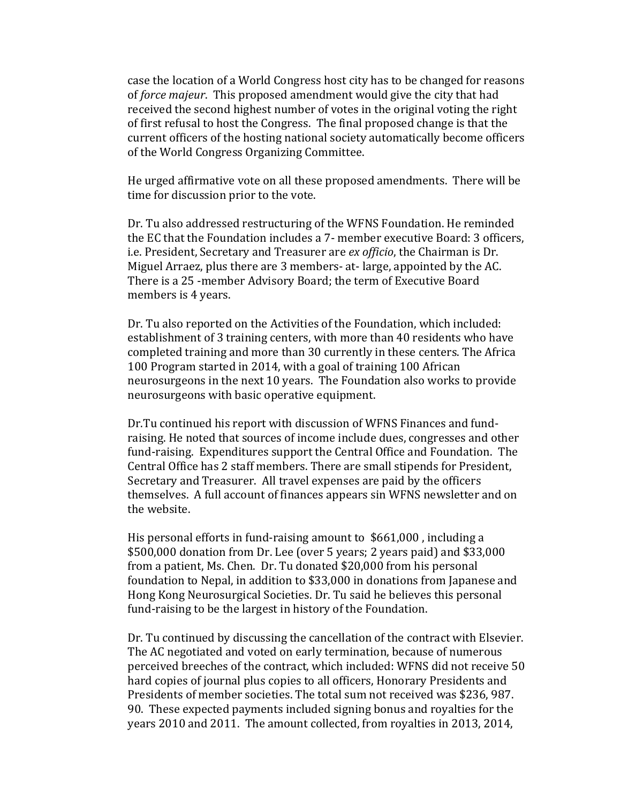case the location of a World Congress host city has to be changed for reasons of *force majeur*. This proposed amendment would give the city that had received the second highest number of votes in the original voting the right of first refusal to host the Congress. The final proposed change is that the current officers of the hosting national society automatically become officers of the World Congress Organizing Committee.

He urged affirmative vote on all these proposed amendments. There will be time for discussion prior to the vote.

Dr. Tu also addressed restructuring of the WFNS Foundation. He reminded the EC that the Foundation includes a 7- member executive Board: 3 officers, i.e. President, Secretary and Treasurer are *ex officio*, the Chairman is Dr. Miguel Arraez, plus there are 3 members- at- large, appointed by the AC. There is a 25 -member Advisory Board; the term of Executive Board members is 4 years.

Dr. Tu also reported on the Activities of the Foundation, which included: establishment of 3 training centers, with more than 40 residents who have completed training and more than 30 currently in these centers. The Africa 100 Program started in 2014, with a goal of training 100 African neurosurgeons in the next 10 years. The Foundation also works to provide neurosurgeons with basic operative equipment.

Dr.Tu continued his report with discussion of WFNS Finances and fundraising. He noted that sources of income include dues, congresses and other fund-raising. Expenditures support the Central Office and Foundation. The Central Office has 2 staff members. There are small stipends for President, Secretary and Treasurer. All travel expenses are paid by the officers themselves. A full account of finances appears sin WFNS newsletter and on the website.

His personal efforts in fund-raising amount to \$661,000 , including a \$500,000 donation from Dr. Lee (over 5 years; 2 years paid) and \$33,000 from a patient, Ms. Chen. Dr. Tu donated \$20,000 from his personal foundation to Nepal, in addition to \$33,000 in donations from Japanese and Hong Kong Neurosurgical Societies. Dr. Tu said he believes this personal fund-raising to be the largest in history of the Foundation.

Dr. Tu continued by discussing the cancellation of the contract with Elsevier. The AC negotiated and voted on early termination, because of numerous perceived breeches of the contract, which included: WFNS did not receive 50 hard copies of journal plus copies to all officers, Honorary Presidents and Presidents of member societies. The total sum not received was \$236, 987. 90. These expected payments included signing bonus and royalties for the years 2010 and 2011. The amount collected, from royalties in 2013, 2014,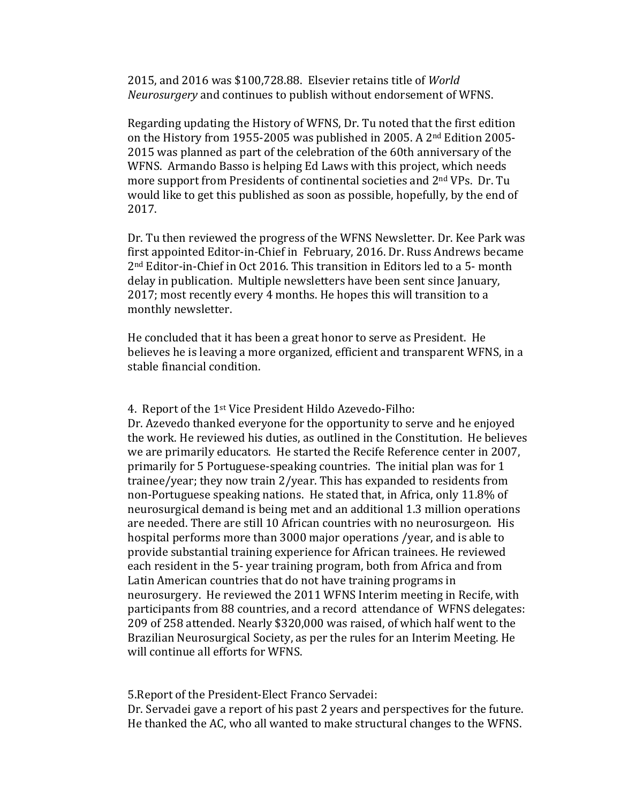2015, and 2016 was \$100,728.88. Elsevier retains title of *World Neurosurgery* and continues to publish without endorsement of WFNS.

Regarding updating the History of WFNS, Dr. Tu noted that the first edition on the History from 1955-2005 was published in 2005. A 2nd Edition 2005- 2015 was planned as part of the celebration of the 60th anniversary of the WFNS. Armando Basso is helping Ed Laws with this project, which needs more support from Presidents of continental societies and 2nd VPs. Dr. Tu would like to get this published as soon as possible, hopefully, by the end of 2017.

Dr. Tu then reviewed the progress of the WFNS Newsletter. Dr. Kee Park was first appointed Editor-in-Chief in February, 2016. Dr. Russ Andrews became 2nd Editor-in-Chief in Oct 2016. This transition in Editors led to a 5- month delay in publication. Multiple newsletters have been sent since January, 2017; most recently every 4 months. He hopes this will transition to a monthly newsletter.

He concluded that it has been a great honor to serve as President. He believes he is leaving a more organized, efficient and transparent WFNS, in a stable financial condition.

#### 4. Report of the 1st Vice President Hildo Azevedo-Filho:

Dr. Azevedo thanked everyone for the opportunity to serve and he enjoyed the work. He reviewed his duties, as outlined in the Constitution. He believes we are primarily educators. He started the Recife Reference center in 2007, primarily for 5 Portuguese-speaking countries. The initial plan was for 1 trainee/year; they now train 2/year. This has expanded to residents from non-Portuguese speaking nations. He stated that, in Africa, only 11.8% of neurosurgical demand is being met and an additional 1.3 million operations are needed. There are still 10 African countries with no neurosurgeon. His hospital performs more than 3000 major operations /year, and is able to provide substantial training experience for African trainees. He reviewed each resident in the 5- year training program, both from Africa and from Latin American countries that do not have training programs in neurosurgery. He reviewed the 2011 WFNS Interim meeting in Recife, with participants from 88 countries, and a record attendance of WFNS delegates: 209 of 258 attended. Nearly \$320,000 was raised, of which half went to the Brazilian Neurosurgical Society, as per the rules for an Interim Meeting. He will continue all efforts for WFNS.

5.Report of the President-Elect Franco Servadei:

Dr. Servadei gave a report of his past 2 years and perspectives for the future. He thanked the AC, who all wanted to make structural changes to the WFNS.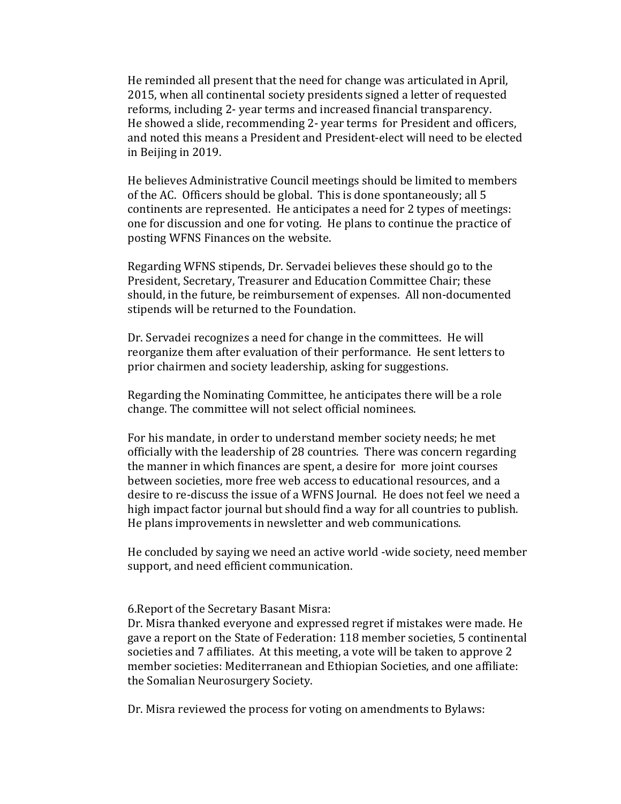He reminded all present that the need for change was articulated in April, 2015, when all continental society presidents signed a letter of requested reforms, including 2- year terms and increased financial transparency. He showed a slide, recommending 2- year terms for President and officers, and noted this means a President and President-elect will need to be elected in Beijing in 2019.

He believes Administrative Council meetings should be limited to members of the AC. Officers should be global. This is done spontaneously; all 5 continents are represented. He anticipates a need for 2 types of meetings: one for discussion and one for voting. He plans to continue the practice of posting WFNS Finances on the website.

Regarding WFNS stipends, Dr. Servadei believes these should go to the President, Secretary, Treasurer and Education Committee Chair; these should, in the future, be reimbursement of expenses. All non-documented stipends will be returned to the Foundation.

Dr. Servadei recognizes a need for change in the committees. He will reorganize them after evaluation of their performance. He sent letters to prior chairmen and society leadership, asking for suggestions.

Regarding the Nominating Committee, he anticipates there will be a role change. The committee will not select official nominees.

For his mandate, in order to understand member society needs; he met officially with the leadership of 28 countries. There was concern regarding the manner in which finances are spent, a desire for more joint courses between societies, more free web access to educational resources, and a desire to re-discuss the issue of a WFNS Journal. He does not feel we need a high impact factor journal but should find a way for all countries to publish. He plans improvements in newsletter and web communications.

He concluded by saying we need an active world -wide society, need member support, and need efficient communication.

#### 6.Report of the Secretary Basant Misra:

Dr. Misra thanked everyone and expressed regret if mistakes were made. He gave a report on the State of Federation: 118 member societies, 5 continental societies and 7 affiliates. At this meeting, a vote will be taken to approve 2 member societies: Mediterranean and Ethiopian Societies, and one affiliate: the Somalian Neurosurgery Society.

Dr. Misra reviewed the process for voting on amendments to Bylaws: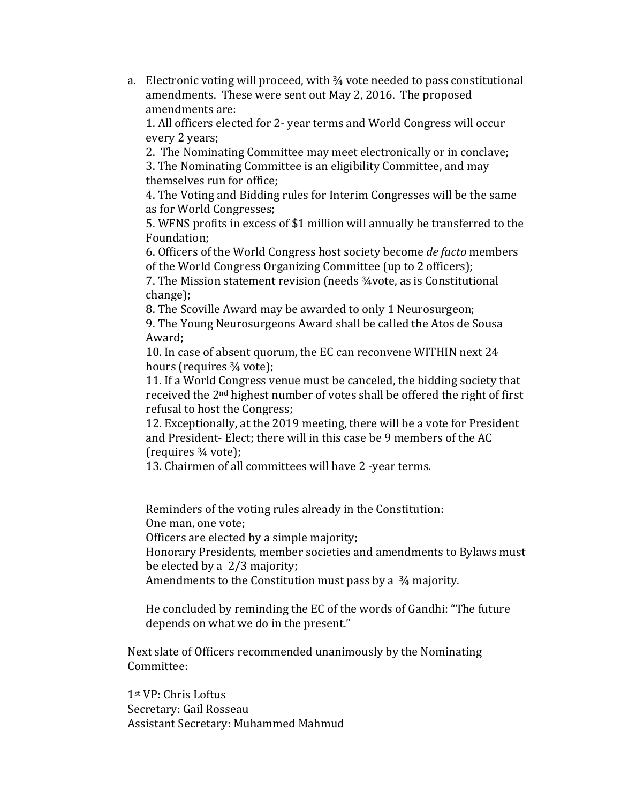a. Electronic voting will proceed, with  $\frac{3}{4}$  vote needed to pass constitutional amendments. These were sent out May 2, 2016. The proposed amendments are:

1. All officers elected for 2- year terms and World Congress will occur every 2 years;

2. The Nominating Committee may meet electronically or in conclave;

3. The Nominating Committee is an eligibility Committee, and may themselves run for office;

4. The Voting and Bidding rules for Interim Congresses will be the same as for World Congresses;

5. WFNS profits in excess of \$1 million will annually be transferred to the Foundation;

6. Officers of the World Congress host society become *de facto* members of the World Congress Organizing Committee (up to 2 officers);

7. The Mission statement revision (needs ¾ vote, as is Constitutional change);

8. The Scoville Award may be awarded to only 1 Neurosurgeon;

9. The Young Neurosurgeons Award shall be called the Atos de Sousa Award;

10. In case of absent quorum, the EC can reconvene WITHIN next 24 hours (requires ¾ vote);

11. If a World Congress venue must be canceled, the bidding society that received the 2nd highest number of votes shall be offered the right of first refusal to host the Congress;

12. Exceptionally, at the 2019 meeting, there will be a vote for President and President- Elect; there will in this case be 9 members of the AC (requires ¾ vote);

13. Chairmen of all committees will have 2 -year terms.

Reminders of the voting rules already in the Constitution: One man, one vote;

Officers are elected by a simple majority;

Honorary Presidents, member societies and amendments to Bylaws must be elected by a 2/3 majority;

Amendments to the Constitution must pass by a  $\frac{3}{4}$  majority.

He concluded by reminding the EC of the words of Gandhi: "The future depends on what we do in the present."

Next slate of Officers recommended unanimously by the Nominating Committee:

1st VP: Chris Loftus Secretary: Gail Rosseau Assistant Secretary: Muhammed Mahmud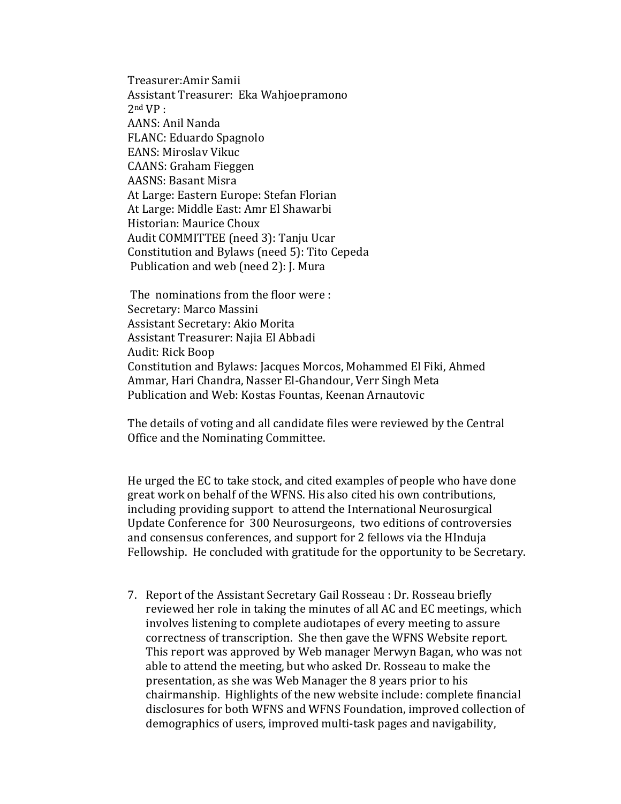Treasurer:Amir Samii Assistant Treasurer: Eka Wahjoepramono  $2<sup>nd</sup> VP:$ AANS: Anil Nanda FLANC: Eduardo Spagnolo EANS: Miroslav Vikuc CAANS: Graham Fieggen AASNS: Basant Misra At Large: Eastern Europe: Stefan Florian At Large: Middle East: Amr El Shawarbi Historian: Maurice Choux Audit COMMITTEE (need 3): Tanju Ucar Constitution and Bylaws (need 5): Tito Cepeda Publication and web (need 2): J. Mura

The nominations from the floor were : Secretary: Marco Massini Assistant Secretary: Akio Morita Assistant Treasurer: Najia El Abbadi Audit: Rick Boop Constitution and Bylaws: Jacques Morcos, Mohammed El Fiki, Ahmed Ammar, Hari Chandra, Nasser El-Ghandour, Verr Singh Meta Publication and Web: Kostas Fountas, Keenan Arnautovic

The details of voting and all candidate files were reviewed by the Central Office and the Nominating Committee.

He urged the EC to take stock, and cited examples of people who have done great work on behalf of the WFNS. His also cited his own contributions, including providing support to attend the International Neurosurgical Update Conference for 300 Neurosurgeons, two editions of controversies and consensus conferences, and support for 2 fellows via the HInduja Fellowship. He concluded with gratitude for the opportunity to be Secretary.

7. Report of the Assistant Secretary Gail Rosseau : Dr. Rosseau briefly reviewed her role in taking the minutes of all AC and EC meetings, which involves listening to complete audiotapes of every meeting to assure correctness of transcription. She then gave the WFNS Website report. This report was approved by Web manager Merwyn Bagan, who was not able to attend the meeting, but who asked Dr. Rosseau to make the presentation, as she was Web Manager the 8 years prior to his chairmanship. Highlights of the new website include: complete financial disclosures for both WFNS and WFNS Foundation, improved collection of demographics of users, improved multi-task pages and navigability,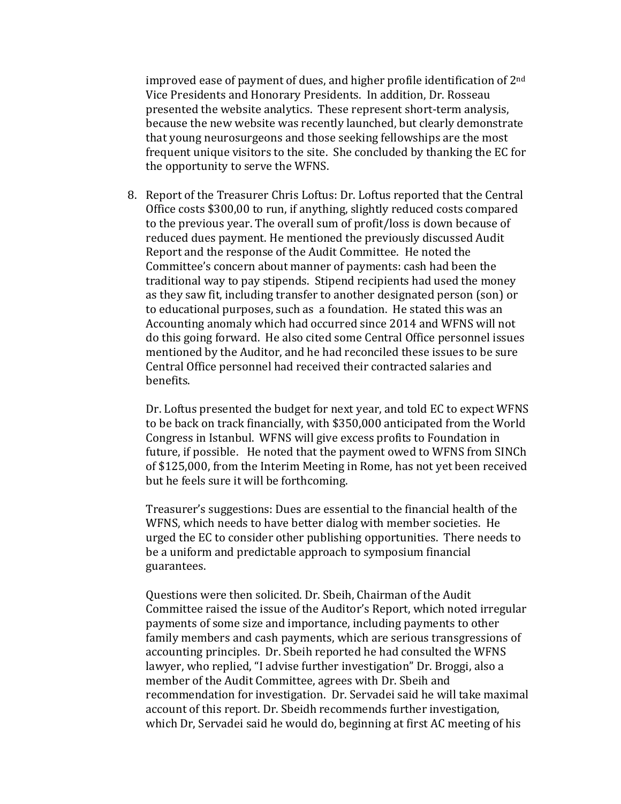improved ease of payment of dues, and higher profile identification of 2nd Vice Presidents and Honorary Presidents. In addition, Dr. Rosseau presented the website analytics. These represent short-term analysis, because the new website was recently launched, but clearly demonstrate that young neurosurgeons and those seeking fellowships are the most frequent unique visitors to the site. She concluded by thanking the EC for the opportunity to serve the WFNS.

8. Report of the Treasurer Chris Loftus: Dr. Loftus reported that the Central Office costs \$300,00 to run, if anything, slightly reduced costs compared to the previous year. The overall sum of profit/loss is down because of reduced dues payment. He mentioned the previously discussed Audit Report and the response of the Audit Committee. He noted the Committee's concern about manner of payments: cash had been the traditional way to pay stipends. Stipend recipients had used the money as they saw fit, including transfer to another designated person (son) or to educational purposes, such as a foundation. He stated this was an Accounting anomaly which had occurred since 2014 and WFNS will not do this going forward. He also cited some Central Office personnel issues mentioned by the Auditor, and he had reconciled these issues to be sure Central Office personnel had received their contracted salaries and benefits.

Dr. Loftus presented the budget for next year, and told EC to expect WFNS to be back on track financially, with \$350,000 anticipated from the World Congress in Istanbul. WFNS will give excess profits to Foundation in future, if possible. He noted that the payment owed to WFNS from SINCh of \$125,000, from the Interim Meeting in Rome, has not yet been received but he feels sure it will be forthcoming.

Treasurer's suggestions: Dues are essential to the financial health of the WFNS, which needs to have better dialog with member societies. He urged the EC to consider other publishing opportunities. There needs to be a uniform and predictable approach to symposium financial guarantees.

Questions were then solicited. Dr. Sbeih, Chairman of the Audit Committee raised the issue of the Auditor's Report, which noted irregular payments of some size and importance, including payments to other family members and cash payments, which are serious transgressions of accounting principles. Dr. Sbeih reported he had consulted the WFNS lawyer, who replied, "I advise further investigation" Dr. Broggi, also a member of the Audit Committee, agrees with Dr. Sbeih and recommendation for investigation. Dr. Servadei said he will take maximal account of this report. Dr. Sbeidh recommends further investigation, which Dr, Servadei said he would do, beginning at first AC meeting of his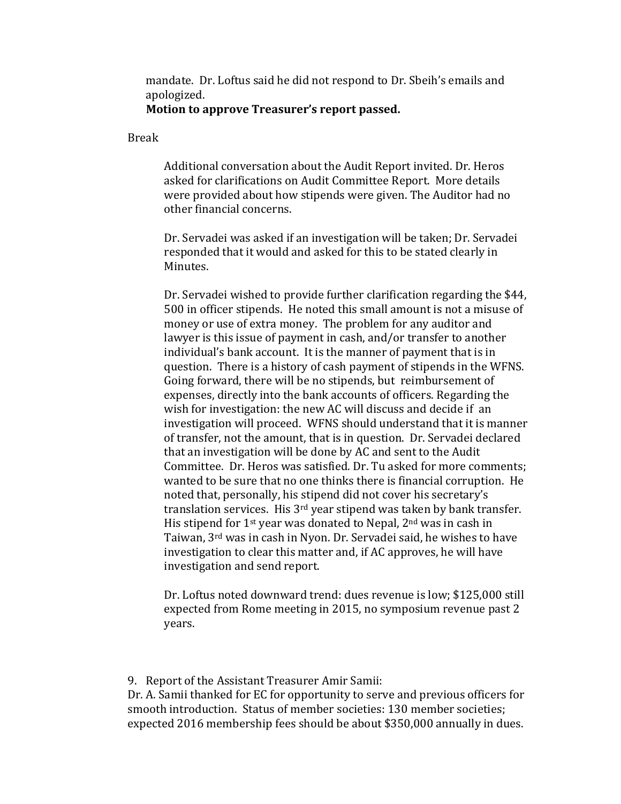mandate. Dr. Loftus said he did not respond to Dr. Sbeih's emails and apologized.

## **Motion to approve Treasurer's report passed.**

Break

Additional conversation about the Audit Report invited. Dr. Heros asked for clarifications on Audit Committee Report. More details were provided about how stipends were given. The Auditor had no other financial concerns.

Dr. Servadei was asked if an investigation will be taken; Dr. Servadei responded that it would and asked for this to be stated clearly in Minutes.

Dr. Servadei wished to provide further clarification regarding the \$44, 500 in officer stipends. He noted this small amount is not a misuse of money or use of extra money. The problem for any auditor and lawyer is this issue of payment in cash, and/or transfer to another individual's bank account. It is the manner of payment that is in question. There is a history of cash payment of stipends in the WFNS. Going forward, there will be no stipends, but reimbursement of expenses, directly into the bank accounts of officers. Regarding the wish for investigation: the new AC will discuss and decide if an investigation will proceed. WFNS should understand that it is manner of transfer, not the amount, that is in question. Dr. Servadei declared that an investigation will be done by AC and sent to the Audit Committee. Dr. Heros was satisfied. Dr. Tu asked for more comments; wanted to be sure that no one thinks there is financial corruption. He noted that, personally, his stipend did not cover his secretary's translation services. His 3<sup>rd</sup> year stipend was taken by bank transfer. His stipend for  $1^{st}$  year was donated to Nepal,  $2^{nd}$  was in cash in Taiwan, 3rd was in cash in Nyon. Dr. Servadei said, he wishes to have investigation to clear this matter and, if AC approves, he will have investigation and send report.

Dr. Loftus noted downward trend: dues revenue is low; \$125,000 still expected from Rome meeting in 2015, no symposium revenue past 2 years.

9. Report of the Assistant Treasurer Amir Samii:

Dr. A. Samii thanked for EC for opportunity to serve and previous officers for smooth introduction. Status of member societies: 130 member societies; expected 2016 membership fees should be about \$350,000 annually in dues.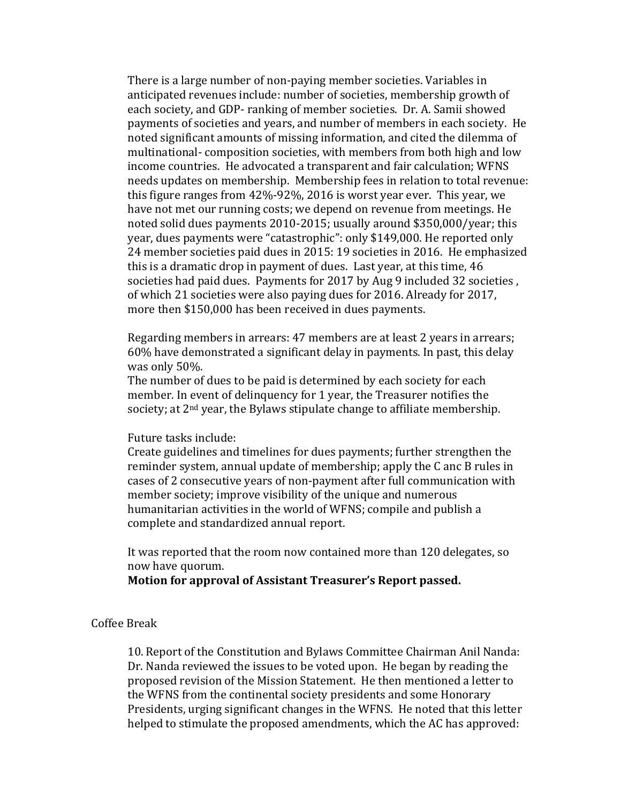There is a large number of non-paying member societies. Variables in anticipated revenues include: number of societies, membership growth of each society, and GDP- ranking of member societies. Dr. A. Samii showed payments of societies and years, and number of members in each society. He noted significant amounts of missing information, and cited the dilemma of multinational- composition societies, with members from both high and low income countries. He advocated a transparent and fair calculation; WFNS needs updates on membership. Membership fees in relation to total revenue: this figure ranges from 42%-92%, 2016 is worst year ever. This year, we have not met our running costs; we depend on revenue from meetings. He noted solid dues payments 2010-2015; usually around \$350,000/year; this year, dues payments were "catastrophic": only \$149,000. He reported only 24 member societies paid dues in 2015: 19 societies in 2016. He emphasized this is a dramatic drop in payment of dues. Last year, at this time, 46 societies had paid dues. Payments for 2017 by Aug 9 included 32 societies , of which 21 societies were also paying dues for 2016. Already for 2017, more then \$150,000 has been received in dues payments.

Regarding members in arrears: 47 members are at least 2 years in arrears; 60% have demonstrated a significant delay in payments. In past, this delay was only 50%.

The number of dues to be paid is determined by each society for each member. In event of delinquency for 1 year, the Treasurer notifies the society; at 2<sup>nd</sup> year, the Bylaws stipulate change to affiliate membership.

#### Future tasks include:

Create guidelines and timelines for dues payments; further strengthen the reminder system, annual update of membership; apply the C anc B rules in cases of 2 consecutive years of non-payment after full communication with member society; improve visibility of the unique and numerous humanitarian activities in the world of WFNS; compile and publish a complete and standardized annual report.

It was reported that the room now contained more than 120 delegates, so now have quorum.

**Motion for approval of Assistant Treasurer's Report passed.** 

#### Coffee Break

10. Report of the Constitution and Bylaws Committee Chairman Anil Nanda: Dr. Nanda reviewed the issues to be voted upon. He began by reading the proposed revision of the Mission Statement. He then mentioned a letter to the WFNS from the continental society presidents and some Honorary Presidents, urging significant changes in the WFNS. He noted that this letter helped to stimulate the proposed amendments, which the AC has approved: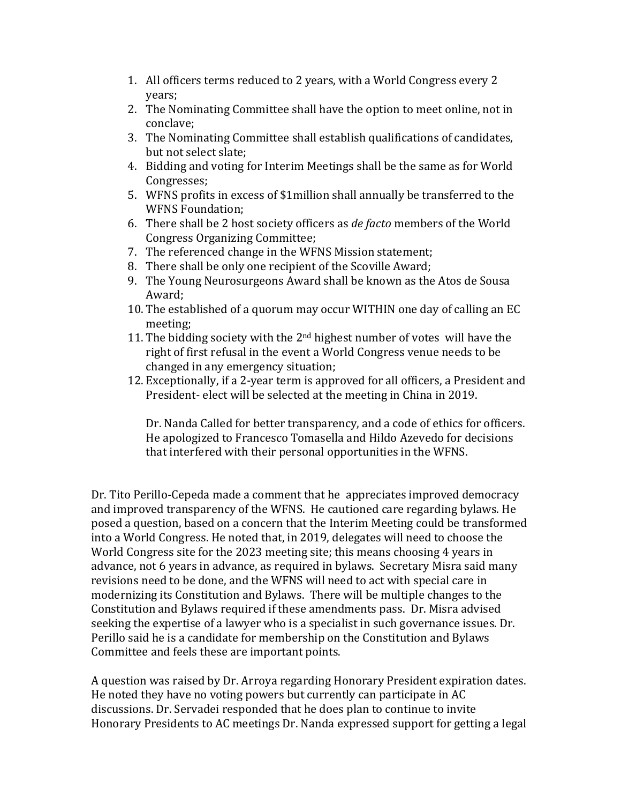- 1. All officers terms reduced to 2 years, with a World Congress every 2 years;
- 2. The Nominating Committee shall have the option to meet online, not in conclave;
- 3. The Nominating Committee shall establish qualifications of candidates, but not select slate;
- 4. Bidding and voting for Interim Meetings shall be the same as for World Congresses;
- 5. WFNS profits in excess of \$1million shall annually be transferred to the WFNS Foundation;
- 6. There shall be 2 host society officers as *de facto* members of the World Congress Organizing Committee;
- 7. The referenced change in the WFNS Mission statement;
- 8. There shall be only one recipient of the Scoville Award;
- 9. The Young Neurosurgeons Award shall be known as the Atos de Sousa Award;
- 10. The established of a quorum may occur WITHIN one day of calling an EC meeting;
- 11. The bidding society with the  $2<sup>nd</sup>$  highest number of votes will have the right of first refusal in the event a World Congress venue needs to be changed in any emergency situation;
- 12. Exceptionally, if a 2-year term is approved for all officers, a President and President- elect will be selected at the meeting in China in 2019.

Dr. Nanda Called for better transparency, and a code of ethics for officers. He apologized to Francesco Tomasella and Hildo Azevedo for decisions that interfered with their personal opportunities in the WFNS.

Dr. Tito Perillo-Cepeda made a comment that he appreciates improved democracy and improved transparency of the WFNS. He cautioned care regarding bylaws. He posed a question, based on a concern that the Interim Meeting could be transformed into a World Congress. He noted that, in 2019, delegates will need to choose the World Congress site for the 2023 meeting site; this means choosing 4 years in advance, not 6 years in advance, as required in bylaws. Secretary Misra said many revisions need to be done, and the WFNS will need to act with special care in modernizing its Constitution and Bylaws. There will be multiple changes to the Constitution and Bylaws required if these amendments pass. Dr. Misra advised seeking the expertise of a lawyer who is a specialist in such governance issues. Dr. Perillo said he is a candidate for membership on the Constitution and Bylaws Committee and feels these are important points.

A question was raised by Dr. Arroya regarding Honorary President expiration dates. He noted they have no voting powers but currently can participate in AC discussions. Dr. Servadei responded that he does plan to continue to invite Honorary Presidents to AC meetings Dr. Nanda expressed support for getting a legal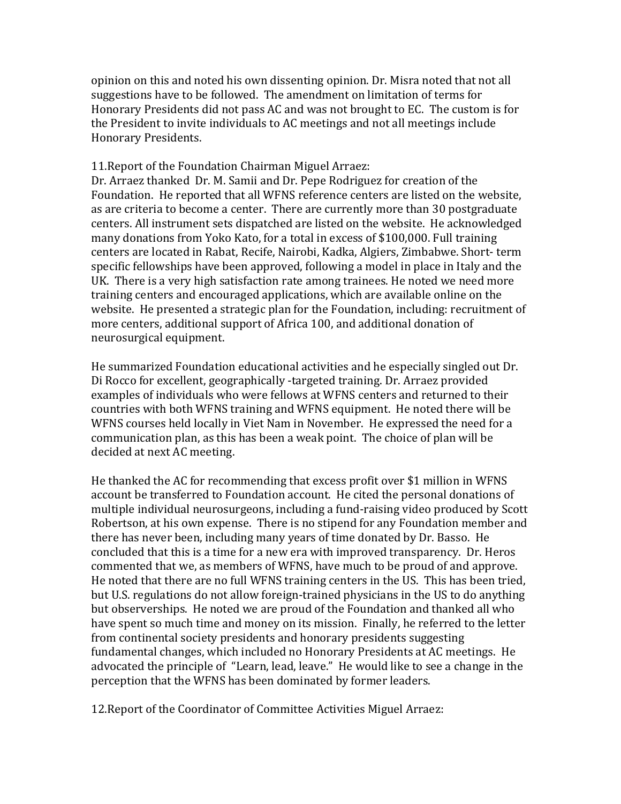opinion on this and noted his own dissenting opinion. Dr. Misra noted that not all suggestions have to be followed. The amendment on limitation of terms for Honorary Presidents did not pass AC and was not brought to EC. The custom is for the President to invite individuals to AC meetings and not all meetings include Honorary Presidents.

11.Report of the Foundation Chairman Miguel Arraez:

Dr. Arraez thanked Dr. M. Samii and Dr. Pepe Rodriguez for creation of the Foundation. He reported that all WFNS reference centers are listed on the website, as are criteria to become a center. There are currently more than 30 postgraduate centers. All instrument sets dispatched are listed on the website. He acknowledged many donations from Yoko Kato, for a total in excess of \$100,000. Full training centers are located in Rabat, Recife, Nairobi, Kadka, Algiers, Zimbabwe. Short- term specific fellowships have been approved, following a model in place in Italy and the UK. There is a very high satisfaction rate among trainees. He noted we need more training centers and encouraged applications, which are available online on the website. He presented a strategic plan for the Foundation, including: recruitment of more centers, additional support of Africa 100, and additional donation of neurosurgical equipment.

He summarized Foundation educational activities and he especially singled out Dr. Di Rocco for excellent, geographically -targeted training. Dr. Arraez provided examples of individuals who were fellows at WFNS centers and returned to their countries with both WFNS training and WFNS equipment. He noted there will be WFNS courses held locally in Viet Nam in November. He expressed the need for a communication plan, as this has been a weak point. The choice of plan will be decided at next AC meeting.

He thanked the AC for recommending that excess profit over \$1 million in WFNS account be transferred to Foundation account. He cited the personal donations of multiple individual neurosurgeons, including a fund-raising video produced by Scott Robertson, at his own expense. There is no stipend for any Foundation member and there has never been, including many years of time donated by Dr. Basso. He concluded that this is a time for a new era with improved transparency. Dr. Heros commented that we, as members of WFNS, have much to be proud of and approve. He noted that there are no full WFNS training centers in the US. This has been tried, but U.S. regulations do not allow foreign-trained physicians in the US to do anything but observerships. He noted we are proud of the Foundation and thanked all who have spent so much time and money on its mission. Finally, he referred to the letter from continental society presidents and honorary presidents suggesting fundamental changes, which included no Honorary Presidents at AC meetings. He advocated the principle of "Learn, lead, leave." He would like to see a change in the perception that the WFNS has been dominated by former leaders.

12.Report of the Coordinator of Committee Activities Miguel Arraez: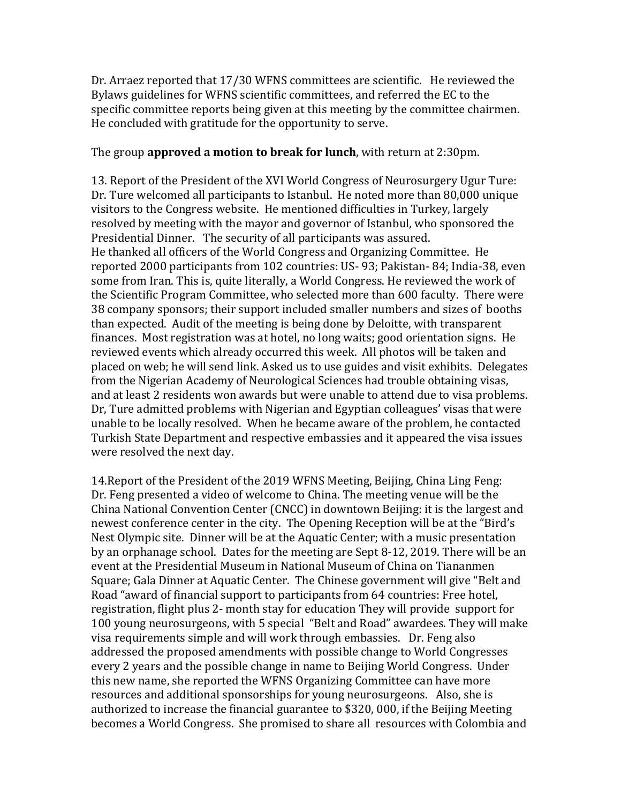Dr. Arraez reported that 17/30 WFNS committees are scientific. He reviewed the Bylaws guidelines for WFNS scientific committees, and referred the EC to the specific committee reports being given at this meeting by the committee chairmen. He concluded with gratitude for the opportunity to serve.

### The group **approved a motion to break for lunch**, with return at 2:30pm.

13. Report of the President of the XVI World Congress of Neurosurgery Ugur Ture: Dr. Ture welcomed all participants to Istanbul. He noted more than 80,000 unique visitors to the Congress website. He mentioned difficulties in Turkey, largely resolved by meeting with the mayor and governor of Istanbul, who sponsored the Presidential Dinner. The security of all participants was assured. He thanked all officers of the World Congress and Organizing Committee. He reported 2000 participants from 102 countries: US- 93; Pakistan- 84; India-38, even some from Iran. This is, quite literally, a World Congress. He reviewed the work of the Scientific Program Committee, who selected more than 600 faculty. There were 38 company sponsors; their support included smaller numbers and sizes of booths than expected. Audit of the meeting is being done by Deloitte, with transparent finances. Most registration was at hotel, no long waits; good orientation signs. He reviewed events which already occurred this week. All photos will be taken and placed on web; he will send link. Asked us to use guides and visit exhibits. Delegates from the Nigerian Academy of Neurological Sciences had trouble obtaining visas, and at least 2 residents won awards but were unable to attend due to visa problems. Dr, Ture admitted problems with Nigerian and Egyptian colleagues' visas that were unable to be locally resolved. When he became aware of the problem, he contacted Turkish State Department and respective embassies and it appeared the visa issues were resolved the next day.

14.Report of the President of the 2019 WFNS Meeting, Beijing, China Ling Feng: Dr. Feng presented a video of welcome to China. The meeting venue will be the China National Convention Center (CNCC) in downtown Beijing: it is the largest and newest conference center in the city. The Opening Reception will be at the "Bird's Nest Olympic site. Dinner will be at the Aquatic Center; with a music presentation by an orphanage school. Dates for the meeting are Sept 8-12, 2019. There will be an event at the Presidential Museum in National Museum of China on Tiananmen Square; Gala Dinner at Aquatic Center. The Chinese government will give "Belt and Road "award of financial support to participants from 64 countries: Free hotel, registration, flight plus 2- month stay for education They will provide support for 100 young neurosurgeons, with 5 special "Belt and Road" awardees. They will make visa requirements simple and will work through embassies. Dr. Feng also addressed the proposed amendments with possible change to World Congresses every 2 years and the possible change in name to Beijing World Congress. Under this new name, she reported the WFNS Organizing Committee can have more resources and additional sponsorships for young neurosurgeons. Also, she is authorized to increase the financial guarantee to \$320, 000, if the Beijing Meeting becomes a World Congress. She promised to share all resources with Colombia and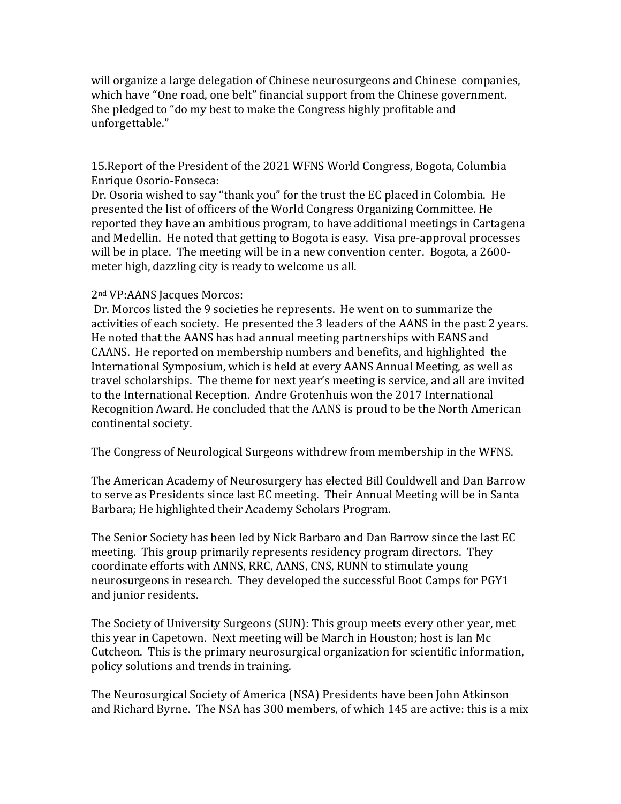will organize a large delegation of Chinese neurosurgeons and Chinese companies, which have "One road, one belt" financial support from the Chinese government. She pledged to "do my best to make the Congress highly profitable and unforgettable."

15.Report of the President of the 2021 WFNS World Congress, Bogota, Columbia Enrique Osorio-Fonseca:

Dr. Osoria wished to say "thank you" for the trust the EC placed in Colombia. He presented the list of officers of the World Congress Organizing Committee. He reported they have an ambitious program, to have additional meetings in Cartagena and Medellin. He noted that getting to Bogota is easy. Visa pre-approval processes will be in place. The meeting will be in a new convention center. Bogota, a 2600 meter high, dazzling city is ready to welcome us all.

### 2nd VP:AANS Jacques Morcos:

Dr. Morcos listed the 9 societies he represents. He went on to summarize the activities of each society. He presented the 3 leaders of the AANS in the past 2 years. He noted that the AANS has had annual meeting partnerships with EANS and CAANS. He reported on membership numbers and benefits, and highlighted the International Symposium, which is held at every AANS Annual Meeting, as well as travel scholarships. The theme for next year's meeting is service, and all are invited to the International Reception. Andre Grotenhuis won the 2017 International Recognition Award. He concluded that the AANS is proud to be the North American continental society.

The Congress of Neurological Surgeons withdrew from membership in the WFNS.

The American Academy of Neurosurgery has elected Bill Couldwell and Dan Barrow to serve as Presidents since last EC meeting. Their Annual Meeting will be in Santa Barbara; He highlighted their Academy Scholars Program.

The Senior Society has been led by Nick Barbaro and Dan Barrow since the last EC meeting. This group primarily represents residency program directors. They coordinate efforts with ANNS, RRC, AANS, CNS, RUNN to stimulate young neurosurgeons in research. They developed the successful Boot Camps for PGY1 and junior residents.

The Society of University Surgeons (SUN): This group meets every other year, met this year in Capetown. Next meeting will be March in Houston; host is Ian Mc Cutcheon. This is the primary neurosurgical organization for scientific information, policy solutions and trends in training.

The Neurosurgical Society of America (NSA) Presidents have been John Atkinson and Richard Byrne. The NSA has 300 members, of which 145 are active: this is a mix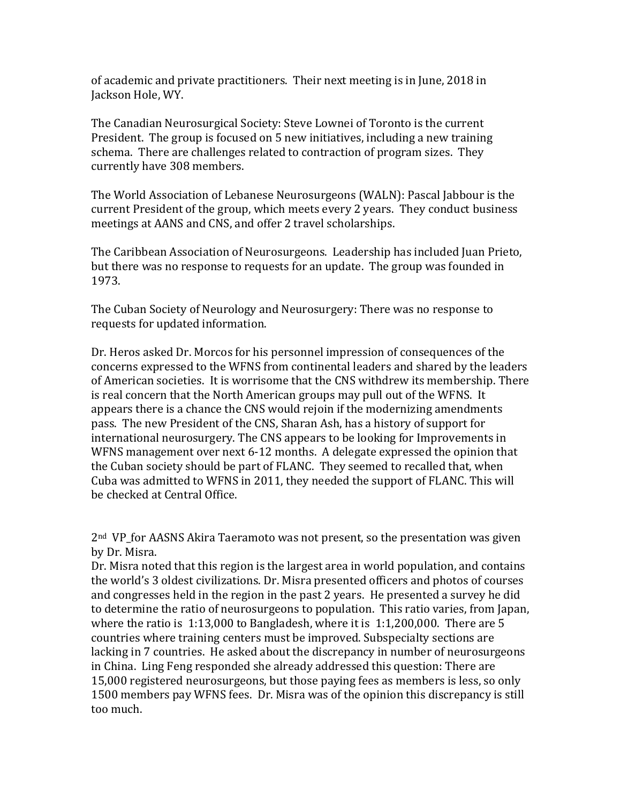of academic and private practitioners. Their next meeting is in June, 2018 in Jackson Hole, WY.

The Canadian Neurosurgical Society: Steve Lownei of Toronto is the current President. The group is focused on 5 new initiatives, including a new training schema. There are challenges related to contraction of program sizes. They currently have 308 members.

The World Association of Lebanese Neurosurgeons (WALN): Pascal Jabbour is the current President of the group, which meets every 2 years. They conduct business meetings at AANS and CNS, and offer 2 travel scholarships.

The Caribbean Association of Neurosurgeons. Leadership has included Juan Prieto, but there was no response to requests for an update. The group was founded in 1973.

The Cuban Society of Neurology and Neurosurgery: There was no response to requests for updated information.

Dr. Heros asked Dr. Morcos for his personnel impression of consequences of the concerns expressed to the WFNS from continental leaders and shared by the leaders of American societies. It is worrisome that the CNS withdrew its membership. There is real concern that the North American groups may pull out of the WFNS. It appears there is a chance the CNS would rejoin if the modernizing amendments pass. The new President of the CNS, Sharan Ash, has a history of support for international neurosurgery. The CNS appears to be looking for Improvements in WFNS management over next 6-12 months. A delegate expressed the opinion that the Cuban society should be part of FLANC. They seemed to recalled that, when Cuba was admitted to WFNS in 2011, they needed the support of FLANC. This will be checked at Central Office.

2nd VP\_for AASNS Akira Taeramoto was not present, so the presentation was given by Dr. Misra.

Dr. Misra noted that this region is the largest area in world population, and contains the world's 3 oldest civilizations. Dr. Misra presented officers and photos of courses and congresses held in the region in the past 2 years. He presented a survey he did to determine the ratio of neurosurgeons to population. This ratio varies, from Japan, where the ratio is 1:13,000 to Bangladesh, where it is 1:1,200,000. There are 5 countries where training centers must be improved. Subspecialty sections are lacking in 7 countries. He asked about the discrepancy in number of neurosurgeons in China. Ling Feng responded she already addressed this question: There are 15,000 registered neurosurgeons, but those paying fees as members is less, so only 1500 members pay WFNS fees. Dr. Misra was of the opinion this discrepancy is still too much.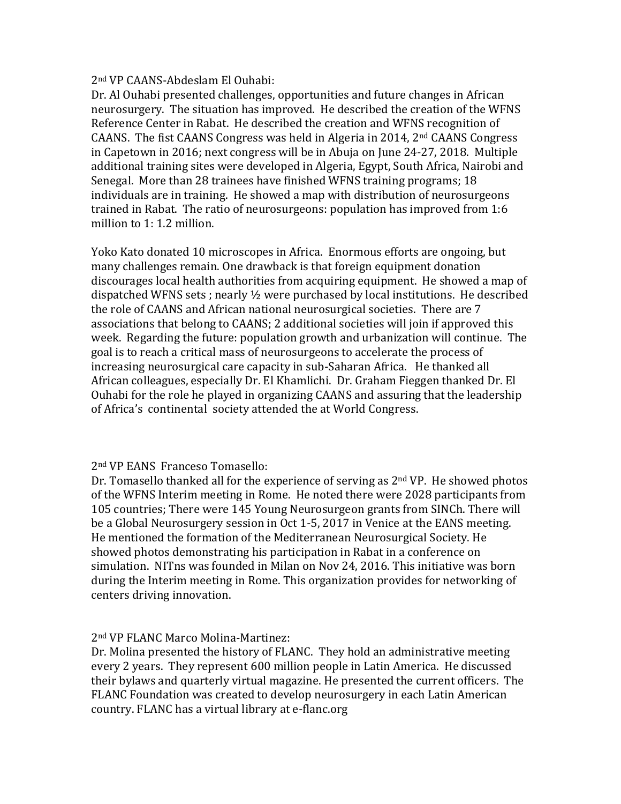## 2nd VP CAANS-Abdeslam El Ouhabi:

Dr. Al Ouhabi presented challenges, opportunities and future changes in African neurosurgery. The situation has improved. He described the creation of the WFNS Reference Center in Rabat. He described the creation and WFNS recognition of CAANS. The fist CAANS Congress was held in Algeria in 2014, 2nd CAANS Congress in Capetown in 2016; next congress will be in Abuja on June 24-27, 2018. Multiple additional training sites were developed in Algeria, Egypt, South Africa, Nairobi and Senegal. More than 28 trainees have finished WFNS training programs; 18 individuals are in training. He showed a map with distribution of neurosurgeons trained in Rabat. The ratio of neurosurgeons: population has improved from 1:6 million to 1: 1.2 million.

Yoko Kato donated 10 microscopes in Africa. Enormous efforts are ongoing, but many challenges remain. One drawback is that foreign equipment donation discourages local health authorities from acquiring equipment. He showed a map of dispatched WFNS sets; nearly  $\frac{1}{2}$  were purchased by local institutions. He described the role of CAANS and African national neurosurgical societies. There are 7 associations that belong to CAANS; 2 additional societies will join if approved this week. Regarding the future: population growth and urbanization will continue. The goal is to reach a critical mass of neurosurgeons to accelerate the process of increasing neurosurgical care capacity in sub-Saharan Africa. He thanked all African colleagues, especially Dr. El Khamlichi. Dr. Graham Fieggen thanked Dr. El Ouhabi for the role he played in organizing CAANS and assuring that the leadership of Africa's continental society attended the at World Congress.

# 2nd VP EANS Franceso Tomasello:

Dr. Tomasello thanked all for the experience of serving as 2nd VP. He showed photos of the WFNS Interim meeting in Rome. He noted there were 2028 participants from 105 countries; There were 145 Young Neurosurgeon grants from SINCh. There will be a Global Neurosurgery session in Oct 1-5, 2017 in Venice at the EANS meeting. He mentioned the formation of the Mediterranean Neurosurgical Society. He showed photos demonstrating his participation in Rabat in a conference on simulation. NITns was founded in Milan on Nov 24, 2016. This initiative was born during the Interim meeting in Rome. This organization provides for networking of centers driving innovation.

### 2nd VP FLANC Marco Molina-Martinez:

Dr. Molina presented the history of FLANC. They hold an administrative meeting every 2 years. They represent 600 million people in Latin America. He discussed their bylaws and quarterly virtual magazine. He presented the current officers. The FLANC Foundation was created to develop neurosurgery in each Latin American country. FLANC has a virtual library at e-flanc.org